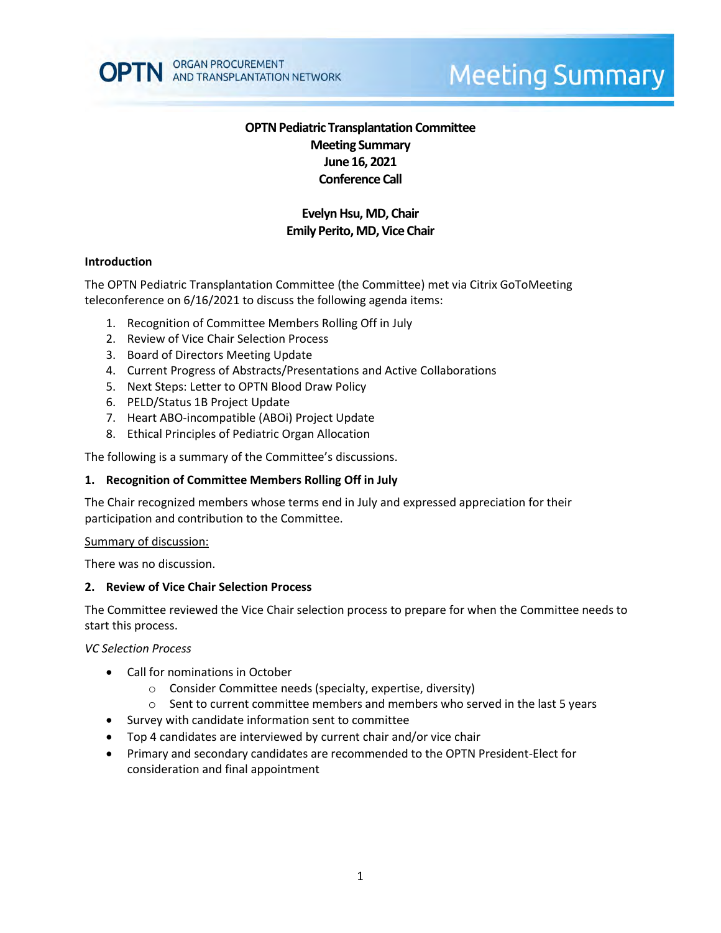

# **Meeting Summary**

# **OPTN Pediatric Transplantation Committee Meeting Summary June 16, 2021 Conference Call**

# **Evelyn Hsu, MD, Chair Emily Perito, MD, Vice Chair**

#### **Introduction**

The OPTN Pediatric Transplantation Committee (the Committee) met via Citrix GoToMeeting teleconference on 6/16/2021 to discuss the following agenda items:

- 1. Recognition of Committee Members Rolling Off in July
- 2. Review of Vice Chair Selection Process
- 3. Board of Directors Meeting Update
- 4. Current Progress of Abstracts/Presentations and Active Collaborations
- 5. Next Steps: Letter to OPTN Blood Draw Policy
- 6. PELD/Status 1B Project Update
- 7. Heart ABO-incompatible (ABOi) Project Update
- 8. Ethical Principles of Pediatric Organ Allocation

The following is a summary of the Committee's discussions.

#### **1. Recognition of Committee Members Rolling Off in July**

The Chair recognized members whose terms end in July and expressed appreciation for their participation and contribution to the Committee.

#### Summary of discussion:

There was no discussion.

#### **2. Review of Vice Chair Selection Process**

The Committee reviewed the Vice Chair selection process to prepare for when the Committee needs to start this process.

*VC Selection Process*

- Call for nominations in October
	- o Consider Committee needs (specialty, expertise, diversity)
	- $\circ$  Sent to current committee members and members who served in the last 5 years
- Survey with candidate information sent to committee
- Top 4 candidates are interviewed by current chair and/or vice chair
- Primary and secondary candidates are recommended to the OPTN President-Elect for consideration and final appointment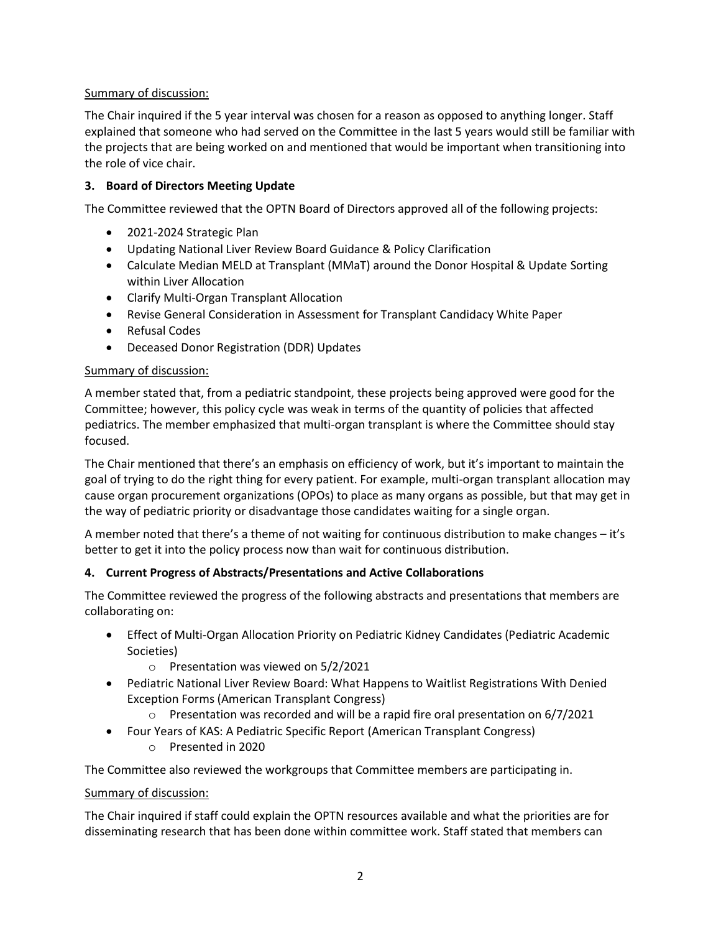# Summary of discussion:

The Chair inquired if the 5 year interval was chosen for a reason as opposed to anything longer. Staff explained that someone who had served on the Committee in the last 5 years would still be familiar with the projects that are being worked on and mentioned that would be important when transitioning into the role of vice chair.

#### **3. Board of Directors Meeting Update**

The Committee reviewed that the OPTN Board of Directors approved all of the following projects:

- 2021-2024 Strategic Plan
- Updating National Liver Review Board Guidance & Policy Clarification
- Calculate Median MELD at Transplant (MMaT) around the Donor Hospital & Update Sorting within Liver Allocation
- Clarify Multi-Organ Transplant Allocation
- Revise General Consideration in Assessment for Transplant Candidacy White Paper
- Refusal Codes
- Deceased Donor Registration (DDR) Updates

#### Summary of discussion:

A member stated that, from a pediatric standpoint, these projects being approved were good for the Committee; however, this policy cycle was weak in terms of the quantity of policies that affected pediatrics. The member emphasized that multi-organ transplant is where the Committee should stay focused.

The Chair mentioned that there's an emphasis on efficiency of work, but it's important to maintain the goal of trying to do the right thing for every patient. For example, multi-organ transplant allocation may cause organ procurement organizations (OPOs) to place as many organs as possible, but that may get in the way of pediatric priority or disadvantage those candidates waiting for a single organ.

A member noted that there's a theme of not waiting for continuous distribution to make changes – it's better to get it into the policy process now than wait for continuous distribution.

#### **4. Current Progress of Abstracts/Presentations and Active Collaborations**

The Committee reviewed the progress of the following abstracts and presentations that members are collaborating on:

- Effect of Multi-Organ Allocation Priority on Pediatric Kidney Candidates (Pediatric Academic Societies)
	- o Presentation was viewed on 5/2/2021
- Pediatric National Liver Review Board: What Happens to Waitlist Registrations With Denied Exception Forms (American Transplant Congress)
	- $\circ$  Presentation was recorded and will be a rapid fire oral presentation on 6/7/2021
- Four Years of KAS: A Pediatric Specific Report (American Transplant Congress)
	- o Presented in 2020

The Committee also reviewed the workgroups that Committee members are participating in.

#### Summary of discussion:

The Chair inquired if staff could explain the OPTN resources available and what the priorities are for disseminating research that has been done within committee work. Staff stated that members can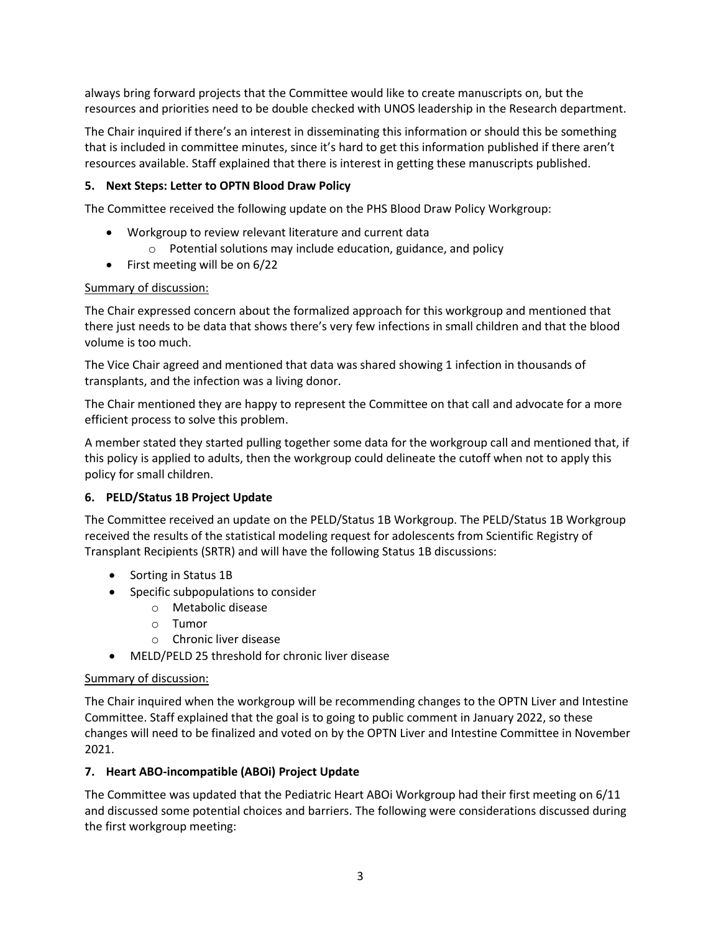always bring forward projects that the Committee would like to create manuscripts on, but the resources and priorities need to be double checked with UNOS leadership in the Research department.

The Chair inquired if there's an interest in disseminating this information or should this be something that is included in committee minutes, since it's hard to get this information published if there aren't resources available. Staff explained that there is interest in getting these manuscripts published.

# **5. Next Steps: Letter to OPTN Blood Draw Policy**

The Committee received the following update on the PHS Blood Draw Policy Workgroup:

- Workgroup to review relevant literature and current data
	- o Potential solutions may include education, guidance, and policy
- First meeting will be on 6/22

# Summary of discussion:

The Chair expressed concern about the formalized approach for this workgroup and mentioned that there just needs to be data that shows there's very few infections in small children and that the blood volume is too much.

The Vice Chair agreed and mentioned that data was shared showing 1 infection in thousands of transplants, and the infection was a living donor.

The Chair mentioned they are happy to represent the Committee on that call and advocate for a more efficient process to solve this problem.

A member stated they started pulling together some data for the workgroup call and mentioned that, if this policy is applied to adults, then the workgroup could delineate the cutoff when not to apply this policy for small children.

# **6. PELD/Status 1B Project Update**

The Committee received an update on the PELD/Status 1B Workgroup. The PELD/Status 1B Workgroup received the results of the statistical modeling request for adolescents from Scientific Registry of Transplant Recipients (SRTR) and will have the following Status 1B discussions:

- Sorting in Status 1B
- Specific subpopulations to consider
	- o Metabolic disease
	- o Tumor
	- o Chronic liver disease
- MELD/PELD 25 threshold for chronic liver disease

# Summary of discussion:

The Chair inquired when the workgroup will be recommending changes to the OPTN Liver and Intestine Committee. Staff explained that the goal is to going to public comment in January 2022, so these changes will need to be finalized and voted on by the OPTN Liver and Intestine Committee in November 2021.

# **7. Heart ABO-incompatible (ABOi) Project Update**

The Committee was updated that the Pediatric Heart ABOi Workgroup had their first meeting on 6/11 and discussed some potential choices and barriers. The following were considerations discussed during the first workgroup meeting: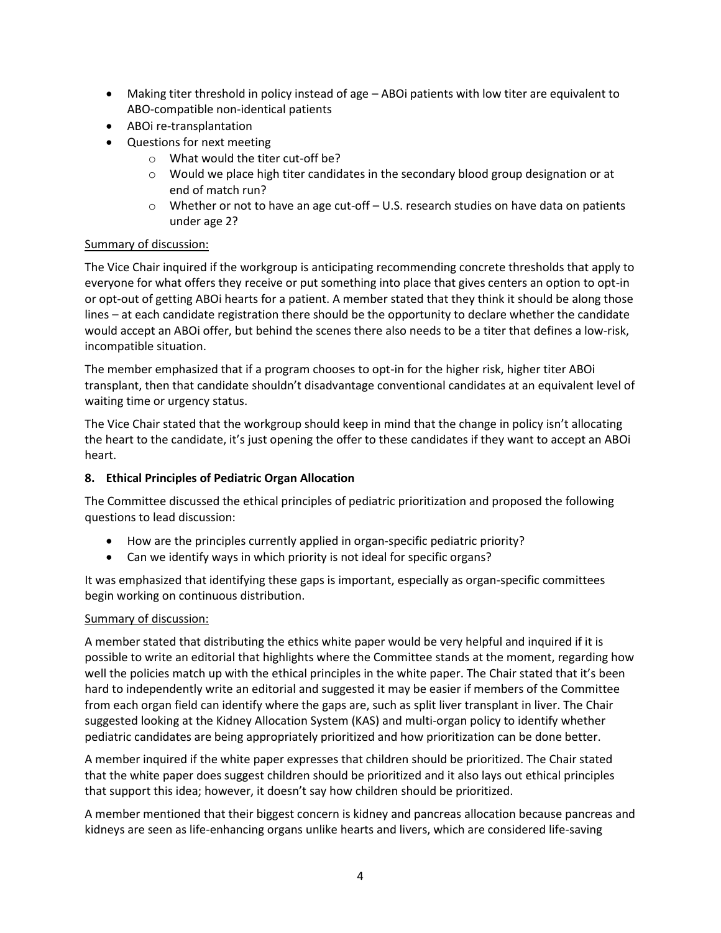- Making titer threshold in policy instead of age ABOi patients with low titer are equivalent to ABO-compatible non-identical patients
- ABOi re-transplantation
- Questions for next meeting
	- o What would the titer cut-off be?
	- $\circ$  Would we place high titer candidates in the secondary blood group designation or at end of match run?
	- $\circ$  Whether or not to have an age cut-off U.S. research studies on have data on patients under age 2?

#### Summary of discussion:

The Vice Chair inquired if the workgroup is anticipating recommending concrete thresholds that apply to everyone for what offers they receive or put something into place that gives centers an option to opt-in or opt-out of getting ABOi hearts for a patient. A member stated that they think it should be along those lines – at each candidate registration there should be the opportunity to declare whether the candidate would accept an ABOi offer, but behind the scenes there also needs to be a titer that defines a low-risk, incompatible situation.

The member emphasized that if a program chooses to opt-in for the higher risk, higher titer ABOi transplant, then that candidate shouldn't disadvantage conventional candidates at an equivalent level of waiting time or urgency status.

The Vice Chair stated that the workgroup should keep in mind that the change in policy isn't allocating the heart to the candidate, it's just opening the offer to these candidates if they want to accept an ABOi heart.

# **8. Ethical Principles of Pediatric Organ Allocation**

The Committee discussed the ethical principles of pediatric prioritization and proposed the following questions to lead discussion:

- How are the principles currently applied in organ-specific pediatric priority?
- Can we identify ways in which priority is not ideal for specific organs?

It was emphasized that identifying these gaps is important, especially as organ-specific committees begin working on continuous distribution.

# Summary of discussion:

A member stated that distributing the ethics white paper would be very helpful and inquired if it is possible to write an editorial that highlights where the Committee stands at the moment, regarding how well the policies match up with the ethical principles in the white paper. The Chair stated that it's been hard to independently write an editorial and suggested it may be easier if members of the Committee from each organ field can identify where the gaps are, such as split liver transplant in liver. The Chair suggested looking at the Kidney Allocation System (KAS) and multi-organ policy to identify whether pediatric candidates are being appropriately prioritized and how prioritization can be done better.

A member inquired if the white paper expresses that children should be prioritized. The Chair stated that the white paper does suggest children should be prioritized and it also lays out ethical principles that support this idea; however, it doesn't say how children should be prioritized.

A member mentioned that their biggest concern is kidney and pancreas allocation because pancreas and kidneys are seen as life-enhancing organs unlike hearts and livers, which are considered life-saving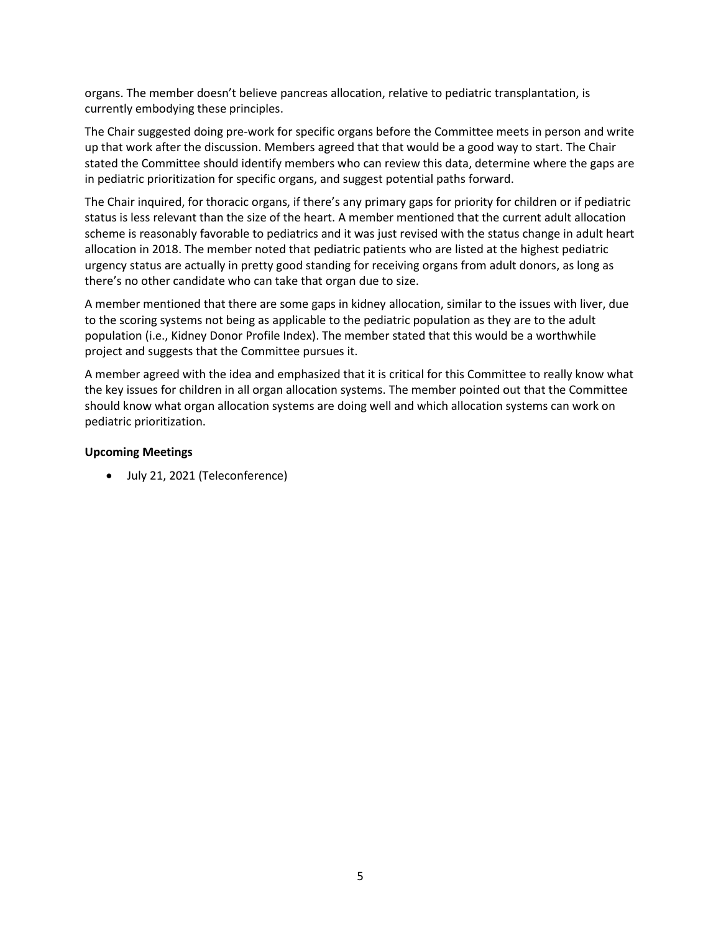organs. The member doesn't believe pancreas allocation, relative to pediatric transplantation, is currently embodying these principles.

The Chair suggested doing pre-work for specific organs before the Committee meets in person and write up that work after the discussion. Members agreed that that would be a good way to start. The Chair stated the Committee should identify members who can review this data, determine where the gaps are in pediatric prioritization for specific organs, and suggest potential paths forward.

The Chair inquired, for thoracic organs, if there's any primary gaps for priority for children or if pediatric status is less relevant than the size of the heart. A member mentioned that the current adult allocation scheme is reasonably favorable to pediatrics and it was just revised with the status change in adult heart allocation in 2018. The member noted that pediatric patients who are listed at the highest pediatric urgency status are actually in pretty good standing for receiving organs from adult donors, as long as there's no other candidate who can take that organ due to size.

A member mentioned that there are some gaps in kidney allocation, similar to the issues with liver, due to the scoring systems not being as applicable to the pediatric population as they are to the adult population (i.e., Kidney Donor Profile Index). The member stated that this would be a worthwhile project and suggests that the Committee pursues it.

A member agreed with the idea and emphasized that it is critical for this Committee to really know what the key issues for children in all organ allocation systems. The member pointed out that the Committee should know what organ allocation systems are doing well and which allocation systems can work on pediatric prioritization.

#### **Upcoming Meetings**

July 21, 2021 (Teleconference)